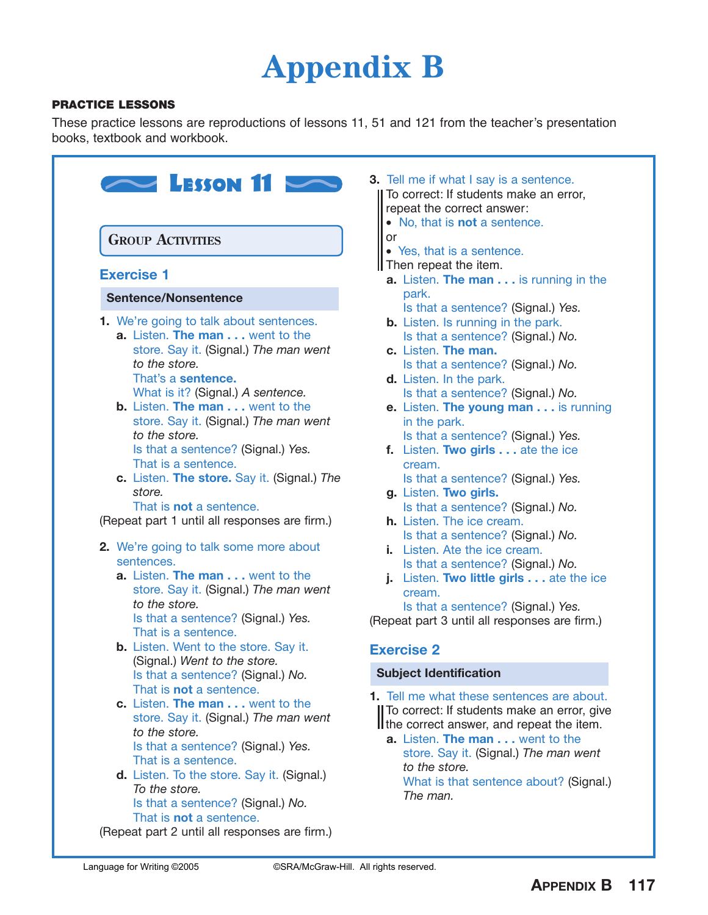# **Appendix B**

#### **PRACTICE LESSONS**

These practice lessons are reproductions of lessons 11, 51 and 121 from the teacher's presentation books, textbook and workbook.

| <b>GROUP ACTIVITIES</b><br><b>Exercise 1</b> |                                                                                                                                                                                                                                                                                                                                                                                                                                                           |  |  |  |  |
|----------------------------------------------|-----------------------------------------------------------------------------------------------------------------------------------------------------------------------------------------------------------------------------------------------------------------------------------------------------------------------------------------------------------------------------------------------------------------------------------------------------------|--|--|--|--|
|                                              |                                                                                                                                                                                                                                                                                                                                                                                                                                                           |  |  |  |  |
|                                              | 1. We're going to talk about sentences.<br>a. Listen. The man went to the<br>store. Say it. (Signal.) The man went<br>to the store.<br>That's a sentence.<br>What is it? (Signal.) A sentence.<br><b>b.</b> Listen. The man went to the<br>store. Say it. (Signal.) The man went<br>to the store.<br>Is that a sentence? (Signal.) Yes.<br>That is a sentence.<br>c. Listen. The store. Say it. (Signal.) The<br>store.<br>That is <b>not</b> a sentence. |  |  |  |  |
|                                              | (Repeat part 1 until all responses are firm.)                                                                                                                                                                                                                                                                                                                                                                                                             |  |  |  |  |
|                                              | 2. We're going to talk some more about                                                                                                                                                                                                                                                                                                                                                                                                                    |  |  |  |  |
|                                              | sentences.<br>a. Listen. The man went to the                                                                                                                                                                                                                                                                                                                                                                                                              |  |  |  |  |
|                                              | store. Say it. (Signal.) The man went<br>to the store.<br>Is that a sentence? (Signal.) Yes.<br>That is a sentence.                                                                                                                                                                                                                                                                                                                                       |  |  |  |  |
|                                              | b. Listen. Went to the store. Say it.<br>(Signal.) Went to the store.<br>Is that a sentence? (Signal.) No.<br>That is <b>not</b> a sentence.                                                                                                                                                                                                                                                                                                              |  |  |  |  |
|                                              | c. Listen. The man went to the<br>store. Say it. (Signal.) The man went<br>to the store.<br>Is that a sentence? (Signal.) Yes.                                                                                                                                                                                                                                                                                                                            |  |  |  |  |
|                                              | That is a sentence.                                                                                                                                                                                                                                                                                                                                                                                                                                       |  |  |  |  |

- **3.** Tell me if what I say is a sentence. To correct: If students make an error, repeat the correct answer:
	- No, that is **not** a sentence.
	- or
	- Yes, that is a sentence.
	- **I** Then repeat the item.
	- **a.** Listen. **The man . . .** is running in the park.
		- Is that a sentence? (Signal.) *Yes.*
	- **b.** Listen. Is running in the park. Is that a sentence? (Signal.) *No.*
	- **c.** Listen. **The man.** Is that a sentence? (Signal.) *No.*
	- **d.** Listen. In the park. Is that a sentence? (Signal.) *No.*
	- **e.** Listen. **The young man . . .** is running in the park.
		- Is that a sentence? (Signal.) *Yes.*
	- **f.** Listen. **Two girls . . .** ate the ice cream. Is that a sentence? (Signal.) *Yes.*
	- **g.** Listen. **Two girls.** Is that a sentence? (Signal.) *No.*
	- **h.** Listen. The ice cream. Is that a sentence? (Signal.) *No.*
	- **i.** Listen. Ate the ice cream. Is that a sentence? (Signal.) *No.*
	- **j.** Listen. **Two little girls . . .** ate the ice cream.

Is that a sentence? (Signal.) *Yes.* (Repeat part 3 until all responses are firm.)

### **Exercise 2**

#### **Subject Identification**

**1.** Tell me what these sentences are about. To correct: If students make an error, give If the correct answer, and repeat the item.

**a.** Listen. **The man . . .** went to the store. Say it. (Signal.) *The man went to the store.* What is that sentence about? (Signal.) *The man.*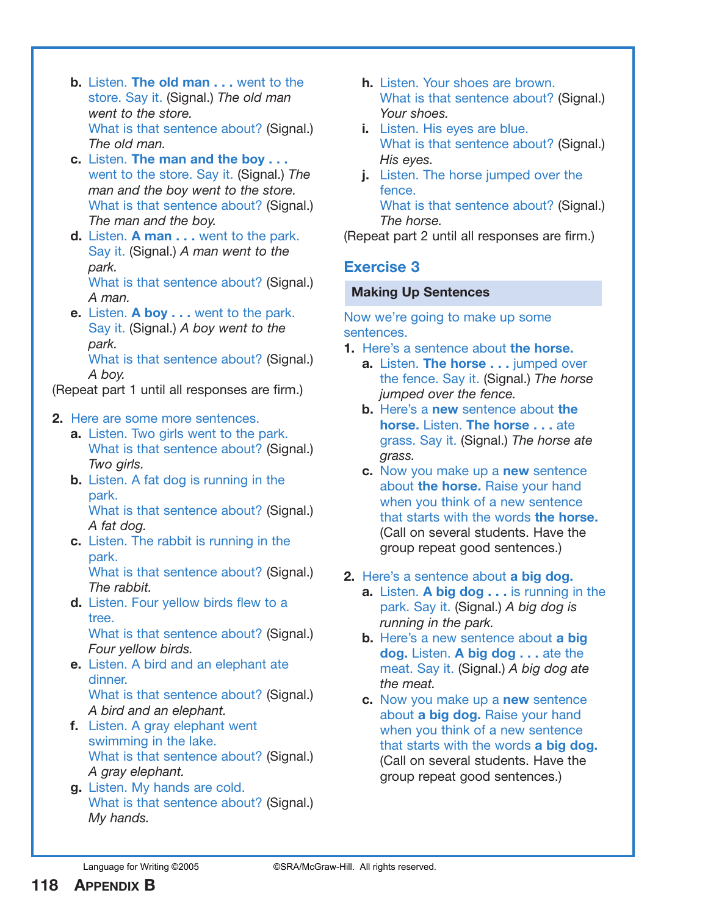- **b.** Listen. **The old man . . .** went to the store. Say it. (Signal.) *The old man went to the store.* What is that sentence about? (Signal.) *The old man.*
- **c.** Listen. **The man and the boy . . .** went to the store. Say it. (Signal.) *The man and the boy went to the store.* What is that sentence about? (Signal.) *The man and the boy.*
- **d.** Listen. **A man . . .** went to the park. Say it. (Signal.) *A man went to the park.* What is that sentence about? (Signal.)

*A man.*

**e.** Listen. **A boy . . .** went to the park. Say it. (Signal.) *A boy went to the park.* What is that sentence about? (Signal.) *A boy.*

(Repeat part 1 until all responses are firm.)

#### **2.** Here are some more sentences.

- **a.** Listen. Two girls went to the park. What is that sentence about? (Signal.) *Two girls.*
- **b.** Listen. A fat dog is running in the park.

What is that sentence about? (Signal.) *A fat dog.*

**c.** Listen. The rabbit is running in the park.

What is that sentence about? (Signal.) *The rabbit.*

**d.** Listen. Four yellow birds flew to a tree. What is that sentence about? (Signal.)

*Four yellow birds.*

- **e.** Listen. A bird and an elephant ate dinner. What is that sentence about? (Signal.)
	- *A bird and an elephant.*
- **f.** Listen. A gray elephant went swimming in the lake. What is that sentence about? (Signal.) *A gray elephant.*
- **g.** Listen. My hands are cold. What is that sentence about? (Signal.) *My hands.*
- **h.** Listen. Your shoes are brown. What is that sentence about? (Signal.) *Your shoes.*
- **i.** Listen. His eyes are blue. What is that sentence about? (Signal.) *His eyes.*
- **j.** Listen. The horse jumped over the fence. What is that sentence about? (Signal.)

*The horse.* (Repeat part 2 until all responses are firm.)

## **Exercise 3**

#### **Making Up Sentences**

Now we're going to make up some sentences.

- **1.** Here's a sentence about **the horse.**
	- **a.** Listen. **The horse ...** jumped over the fence. Say it. (Signal.) *The horse jumped over the fence.*
	- **b.** Here's a **new** sentence about **the horse.** Listen. **The horse . . .** ate grass. Say it. (Signal.) *The horse ate grass.*
	- **c.** Now you make up a **new** sentence about **the horse.** Raise your hand when you think of a new sentence that starts with the words **the horse.** (Call on several students. Have the group repeat good sentences.)
- **2.** Here's a sentence about **a big dog.**
	- **a.** Listen. **A big dog . . .** is running in the park. Say it. (Signal.) *A big dog is running in the park.*
	- **b.** Here's a new sentence about **a big dog.** Listen. **A big dog . . .** ate the meat. Say it. (Signal.) *A big dog ate the meat.*
	- **c.** Now you make up a **new** sentence about **a big dog.** Raise your hand when you think of a new sentence that starts with the words **a big dog.** (Call on several students. Have the group repeat good sentences.)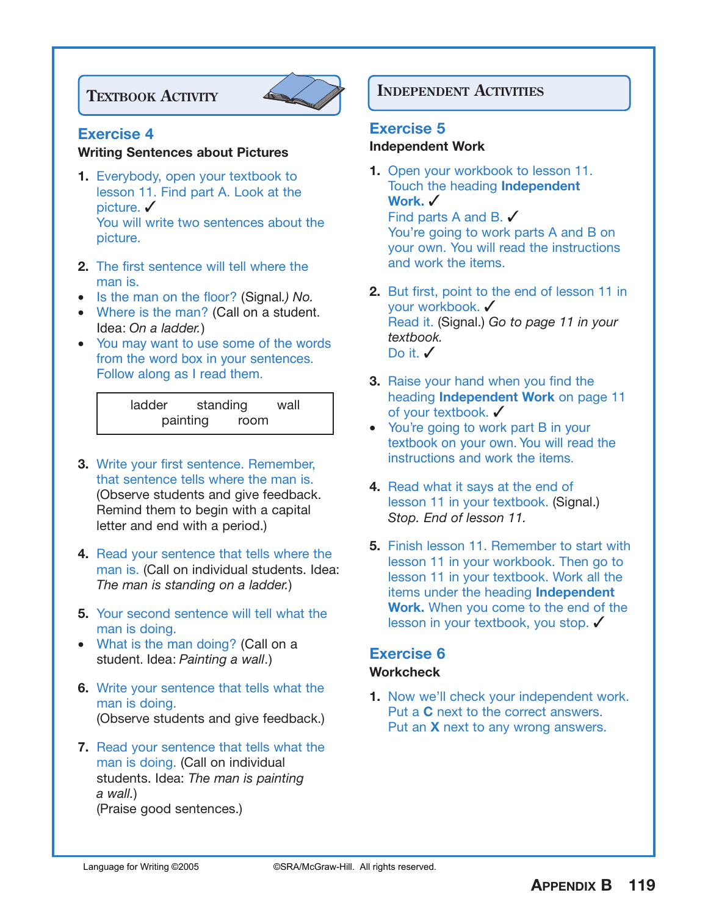

#### **Exercise 4**

#### **Writing Sentences about Pictures**

- **1.** Everybody, open your textbook to lesson 11. Find part A. Look at the picture. **✓** You will write two sentences about the picture.
- **2.** The first sentence will tell where the man is.
- Is the man on the floor? (Signal*.) No.*
- Where is the man? (Call on a student. Idea: *On a ladder.*)
- You may want to use some of the words from the word box in your sentences. Follow along as I read them.

| ladder | standing |      | wall |
|--------|----------|------|------|
|        | painting | room |      |

- **3.** Write your first sentence. Remember, that sentence tells where the man is. (Observe students and give feedback. Remind them to begin with a capital letter and end with a period.)
- **4.** Read your sentence that tells where the man is. (Call on individual students. Idea: *The man is standing on a ladder.*)
- **5.** Your second sentence will tell what the man is doing.
- What is the man doing? (Call on a student. Idea: *Painting a wall*.)
- **6.** Write your sentence that tells what the man is doing. (Observe students and give feedback.)
- **7.** Read your sentence that tells what the man is doing. (Call on individual students. Idea: *The man is painting a wall.*) (Praise good sentences.)

# **IEXTBOOK ACTIVITY INDEPENDENT ACTIVITIES**

#### **Exercise 5**

#### **Independent Work**

- **1.** Open your workbook to lesson 11. Touch the heading **Independent Work.** ✓ Find parts A and B.  $\checkmark$ You're going to work parts A and B on your own. You will read the instructions and work the items.
- **2.** But first, point to the end of lesson 11 in your workbook. ✓ Read it. (Signal.) *Go to page 11 in your textbook.* Do it. ✔
- **3.** Raise your hand when you find the heading **Independent Work** on page 11 of your textbook. ✓
- You're going to work part B in your textbook on your own. You will read the instructions and work the items.
- **4.** Read what it says at the end of lesson 11 in your textbook. (Signal.) *Stop. End of lesson 11.*
- **5.** Finish lesson 11. Remember to start with lesson 11 in your workbook. Then go to lesson 11 in your textbook. Work all the items under the heading **Independent Work.** When you come to the end of the lesson in your textbook, you stop. ✓

#### **Exercise 6 Workcheck**

**1.** Now we'll check your independent work. Put a **C** next to the correct answers. Put an **X** next to any wrong answers.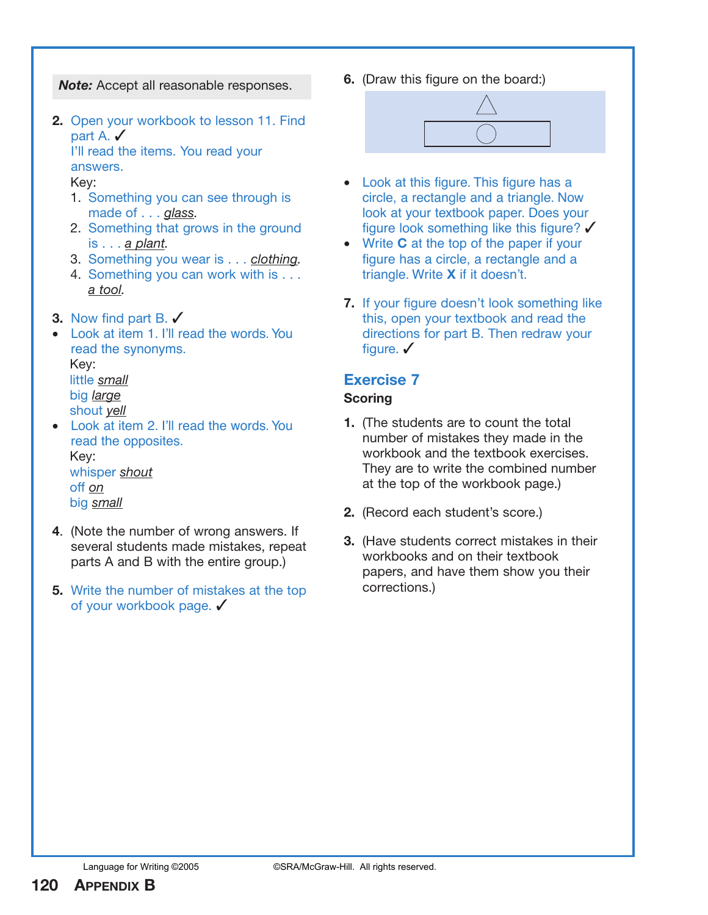*Note:* Accept all reasonable responses.

**2.** Open your workbook to lesson 11. Find part A. ✔

I'll read the items. You read your answers.

Key:

- 1. Something you can see through is made of . . . *glass.*
- 2. Something that grows in the ground is . . . *a plant.*
- 3. Something you wear is . . . *clothing.*
- 4. Something you can work with is . . . *a tool.*
- **3.** Now find part B. ✓
- Look at item 1. I'll read the words. You read the synonyms. Key: little *small*

big *large* shout *yell*

- Look at item 2. I'll read the words. You read the opposites. Key: whisper *shout* off *on* big *small*
- **4**. (Note the number of wrong answers. If several students made mistakes, repeat parts A and B with the entire group.)
- **5.** Write the number of mistakes at the top of your workbook page. ✔

**6.** (Draw this figure on the board:)



- Look at this figure. This figure has a circle, a rectangle and a triangle. Now look at your textbook paper. Does your figure look something like this figure? ✓
- Write **C** at the top of the paper if your figure has a circle, a rectangle and a triangle. Write **X** if it doesn't.
- **7.** If your figure doesn't look something like this, open your textbook and read the directions for part B. Then redraw your figure.  $\checkmark$

# **Exercise 7**

### **Scoring**

- **1.** (The students are to count the total number of mistakes they made in the workbook and the textbook exercises. They are to write the combined number at the top of the workbook page.)
- **2.** (Record each student's score.)
- **3.** (Have students correct mistakes in their workbooks and on their textbook papers, and have them show you their corrections.)